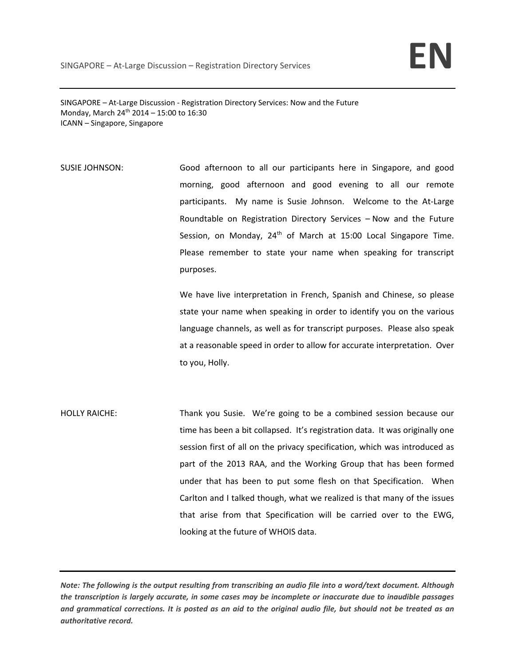SINGAPORE – At‐Large Discussion ‐ Registration Directory Services: Now and the Future Monday, March 24<sup>th</sup> 2014 – 15:00 to 16:30 ICANN – Singapore, Singapore

SUSIE JOHNSON: Good afternoon to all our participants here in Singapore, and good morning, good afternoon and good evening to all our remote participants. My name is Susie Johnson. Welcome to the At-Large Roundtable on Registration Directory Services – Now and the Future Session, on Monday,  $24<sup>th</sup>$  of March at 15:00 Local Singapore Time. Please remember to state your name when speaking for transcript purposes.

> We have live interpretation in French, Spanish and Chinese, so please state your name when speaking in order to identify you on the various language channels, as well as for transcript purposes. Please also speak at a reasonable speed in order to allow for accurate interpretation. Over to you, Holly.

HOLLY RAICHE: Thank you Susie. We're going to be a combined session because our time has been a bit collapsed. It's registration data. It was originally one session first of all on the privacy specification, which was introduced as part of the 2013 RAA, and the Working Group that has been formed under that has been to put some flesh on that Specification. When Carlton and I talked though, what we realized is that many of the issues that arise from that Specification will be carried over to the EWG, looking at the future of WHOIS data.

Note: The following is the output resulting from transcribing an audio file into a word/text document. Although the transcription is largely accurate, in some cases may be incomplete or inaccurate due to inaudible passages and grammatical corrections. It is posted as an aid to the original audio file, but should not be treated as an *authoritative record.*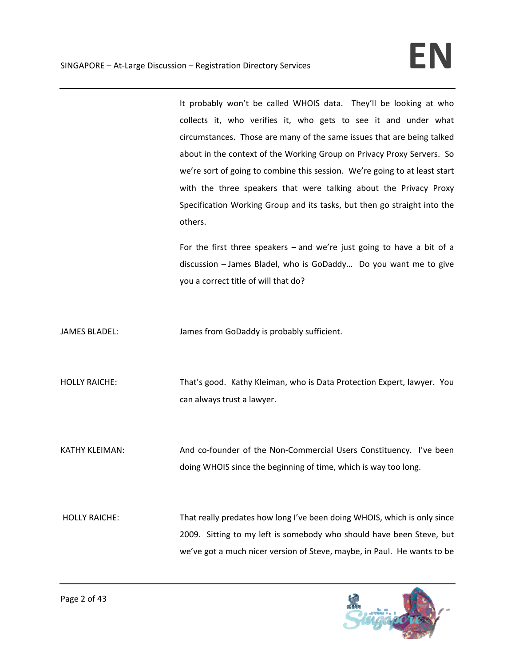It probably won't be called WHOIS data. They'll be looking at who collects it, who verifies it, who gets to see it and under what circumstances. Those are many of the same issues that are being talked about in the context of the Working Group on Privacy Proxy Servers. So we're sort of going to combine this session. We're going to at least start with the three speakers that were talking about the Privacy Proxy Specification Working Group and its tasks, but then go straight into the others.

For the first three speakers  $-$  and we're just going to have a bit of a discussion – James Bladel, who is GoDaddy… Do you want me to give you a correct title of will that do?

JAMES BLADEL: James from GoDaddy is probably sufficient.

HOLLY RAICHE: That's good. Kathy Kleiman, who is Data Protection Expert, lawyer. You can always trust a lawyer.

KATHY KLEIMAN: And co-founder of the Non-Commercial Users Constituency. I've been doing WHOIS since the beginning of time, which is way too long.

HOLLY RAICHE: That really predates how long I've been doing WHOIS, which is only since 2009. Sitting to my left is somebody who should have been Steve, but we've got a much nicer version of Steve, maybe, in Paul. He wants to be

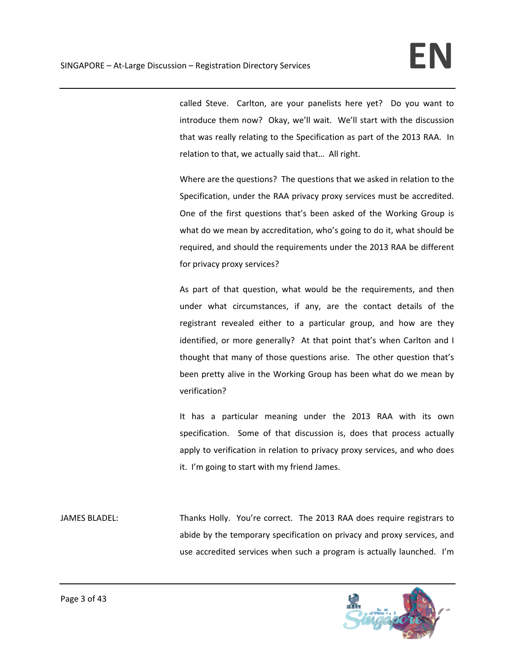called Steve. Carlton, are your panelists here yet? Do you want to introduce them now? Okay, we'll wait. We'll start with the discussion that was really relating to the Specification as part of the 2013 RAA. In relation to that, we actually said that… All right.

Where are the questions? The questions that we asked in relation to the Specification, under the RAA privacy proxy services must be accredited. One of the first questions that's been asked of the Working Group is what do we mean by accreditation, who's going to do it, what should be required, and should the requirements under the 2013 RAA be different for privacy proxy services?

As part of that question, what would be the requirements, and then under what circumstances, if any, are the contact details of the registrant revealed either to a particular group, and how are they identified, or more generally? At that point that's when Carlton and I thought that many of those questions arise. The other question that's been pretty alive in the Working Group has been what do we mean by verification?

It has a particular meaning under the 2013 RAA with its own specification. Some of that discussion is, does that process actually apply to verification in relation to privacy proxy services, and who does it. I'm going to start with my friend James.

JAMES BLADEL: Thanks Holly. You're correct. The 2013 RAA does require registrars to abide by the temporary specification on privacy and proxy services, and use accredited services when such a program is actually launched. I'm

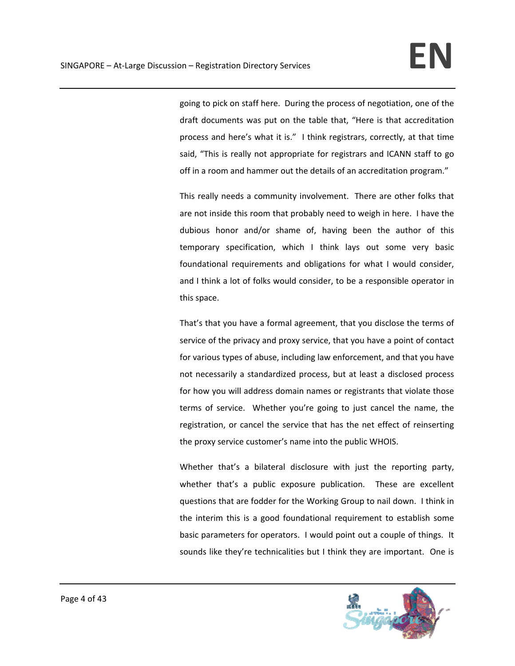going to pick on staff here. During the process of negotiation, one of the draft documents was put on the table that, "Here is that accreditation process and here's what it is." I think registrars, correctly, at that time said, "This is really not appropriate for registrars and ICANN staff to go off in a room and hammer out the details of an accreditation program."

This really needs a community involvement. There are other folks that are not inside this room that probably need to weigh in here. I have the dubious honor and/or shame of, having been the author of this temporary specification, which I think lays out some very basic foundational requirements and obligations for what I would consider, and I think a lot of folks would consider, to be a responsible operator in this space.

That's that you have a formal agreement, that you disclose the terms of service of the privacy and proxy service, that you have a point of contact for various types of abuse, including law enforcement, and that you have not necessarily a standardized process, but at least a disclosed process for how you will address domain names or registrants that violate those terms of service. Whether you're going to just cancel the name, the registration, or cancel the service that has the net effect of reinserting the proxy service customer's name into the public WHOIS.

Whether that's a bilateral disclosure with just the reporting party, whether that's a public exposure publication. These are excellent questions that are fodder for the Working Group to nail down. I think in the interim this is a good foundational requirement to establish some basic parameters for operators. I would point out a couple of things. It sounds like they're technicalities but I think they are important. One is

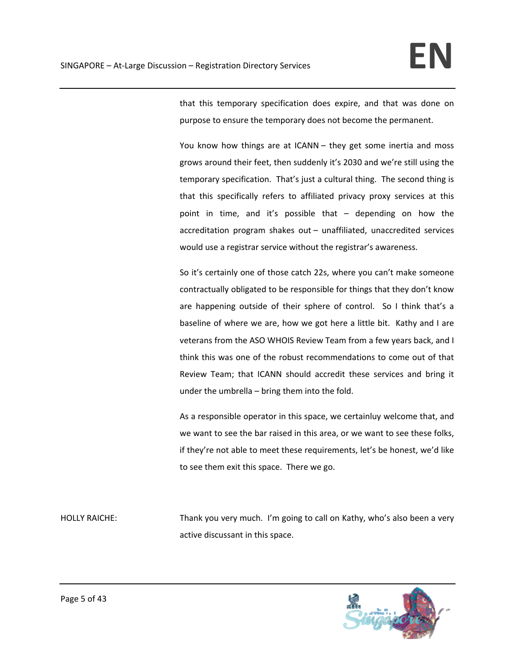that this temporary specification does expire, and that was done on purpose to ensure the temporary does not become the permanent.

You know how things are at ICANN – they get some inertia and moss grows around their feet, then suddenly it's 2030 and we're still using the temporary specification. That's just a cultural thing. The second thing is that this specifically refers to affiliated privacy proxy services at this point in time, and it's possible that – depending on how the accreditation program shakes out – unaffiliated, unaccredited services would use a registrar service without the registrar's awareness.

So it's certainly one of those catch 22s, where you can't make someone contractually obligated to be responsible for things that they don't know are happening outside of their sphere of control. So I think that's a baseline of where we are, how we got here a little bit. Kathy and I are veterans from the ASO WHOIS Review Team from a few years back, and I think this was one of the robust recommendations to come out of that Review Team; that ICANN should accredit these services and bring it under the umbrella – bring them into the fold.

As a responsible operator in this space, we certainluy welcome that, and we want to see the bar raised in this area, or we want to see these folks, if they're not able to meet these requirements, let's be honest, we'd like to see them exit this space. There we go.

HOLLY RAICHE: Thank you very much. I'm going to call on Kathy, who's also been a very active discussant in this space.

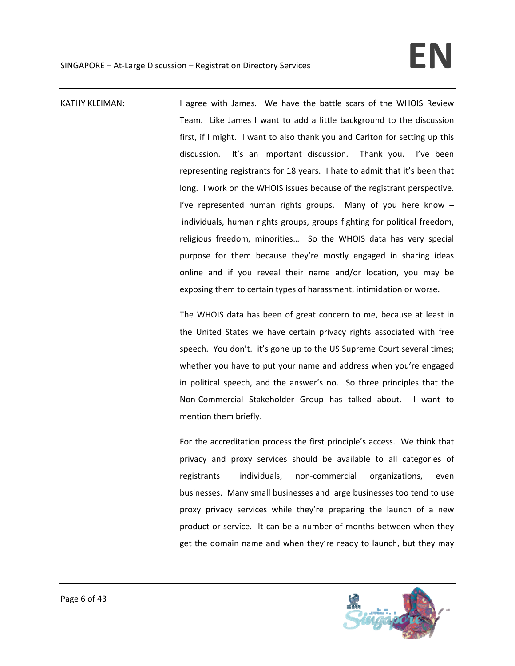KATHY KLEIMAN: I agree with James. We have the battle scars of the WHOIS Review Team. Like James I want to add a little background to the discussion first, if I might. I want to also thank you and Carlton for setting up this discussion. It's an important discussion. Thank you. I've been representing registrants for 18 years. I hate to admit that it's been that long. I work on the WHOIS issues because of the registrant perspective. I've represented human rights groups. Many of you here know  $$ individuals, human rights groups, groups fighting for political freedom, religious freedom, minorities... So the WHOIS data has very special purpose for them because they're mostly engaged in sharing ideas online and if you reveal their name and/or location, you may be exposing them to certain types of harassment, intimidation or worse.

> The WHOIS data has been of great concern to me, because at least in the United States we have certain privacy rights associated with free speech. You don't. it's gone up to the US Supreme Court several times; whether you have to put your name and address when you're engaged in political speech, and the answer's no. So three principles that the Non-Commercial Stakeholder Group has talked about. I want to mention them briefly.

> For the accreditation process the first principle's access. We think that privacy and proxy services should be available to all categories of registrants – individuals, non‐commercial organizations, even businesses. Many small businesses and large businesses too tend to use proxy privacy services while they're preparing the launch of a new product or service. It can be a number of months between when they get the domain name and when they're ready to launch, but they may

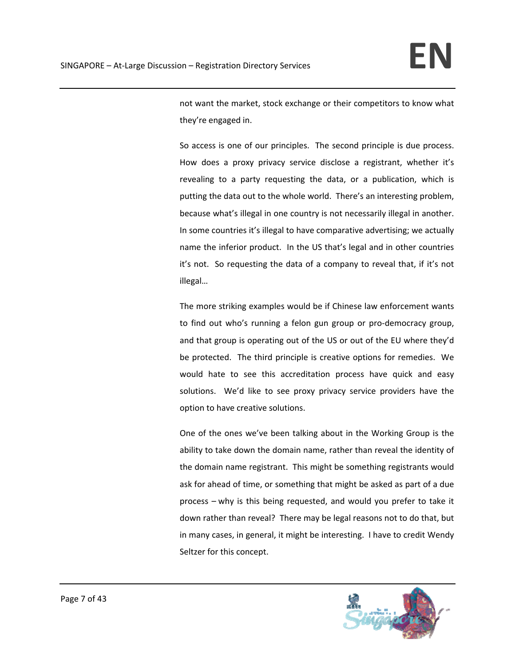not want the market, stock exchange or their competitors to know what they're engaged in.

So access is one of our principles. The second principle is due process. How does a proxy privacy service disclose a registrant, whether it's revealing to a party requesting the data, or a publication, which is putting the data out to the whole world. There's an interesting problem, because what's illegal in one country is not necessarily illegal in another. In some countries it's illegal to have comparative advertising; we actually name the inferior product. In the US that's legal and in other countries it's not. So requesting the data of a company to reveal that, if it's not illegal…

The more striking examples would be if Chinese law enforcement wants to find out who's running a felon gun group or pro‐democracy group, and that group is operating out of the US or out of the EU where they'd be protected. The third principle is creative options for remedies. We would hate to see this accreditation process have quick and easy solutions. We'd like to see proxy privacy service providers have the option to have creative solutions.

One of the ones we've been talking about in the Working Group is the ability to take down the domain name, rather than reveal the identity of the domain name registrant. This might be something registrants would ask for ahead of time, or something that might be asked as part of a due process – why is this being requested, and would you prefer to take it down rather than reveal? There may be legal reasons not to do that, but in many cases, in general, it might be interesting. I have to credit Wendy Seltzer for this concept.

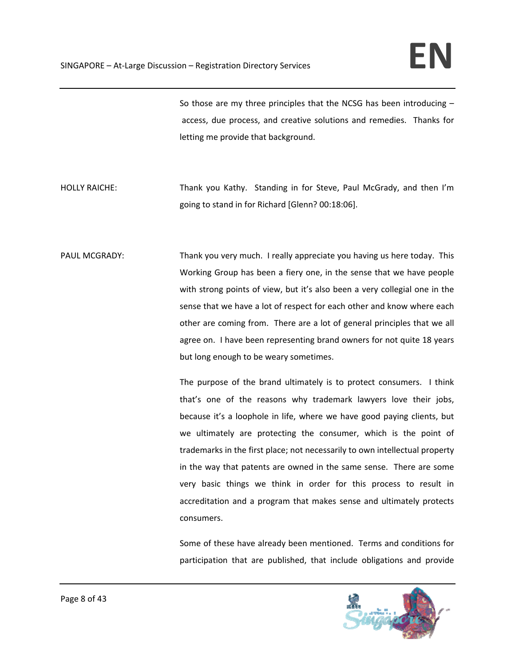So those are my three principles that the NCSG has been introducing – access, due process, and creative solutions and remedies. Thanks for letting me provide that background.

- HOLLY RAICHE: Thank you Kathy. Standing in for Steve, Paul McGrady, and then I'm going to stand in for Richard [Glenn? 00:18:06].
- PAUL MCGRADY: Thank you very much. I really appreciate you having us here today. This Working Group has been a fiery one, in the sense that we have people with strong points of view, but it's also been a very collegial one in the sense that we have a lot of respect for each other and know where each other are coming from. There are a lot of general principles that we all agree on. I have been representing brand owners for not quite 18 years but long enough to be weary sometimes.

The purpose of the brand ultimately is to protect consumers. I think that's one of the reasons why trademark lawyers love their jobs, because it's a loophole in life, where we have good paying clients, but we ultimately are protecting the consumer, which is the point of trademarks in the first place; not necessarily to own intellectual property in the way that patents are owned in the same sense. There are some very basic things we think in order for this process to result in accreditation and a program that makes sense and ultimately protects consumers.

Some of these have already been mentioned. Terms and conditions for participation that are published, that include obligations and provide

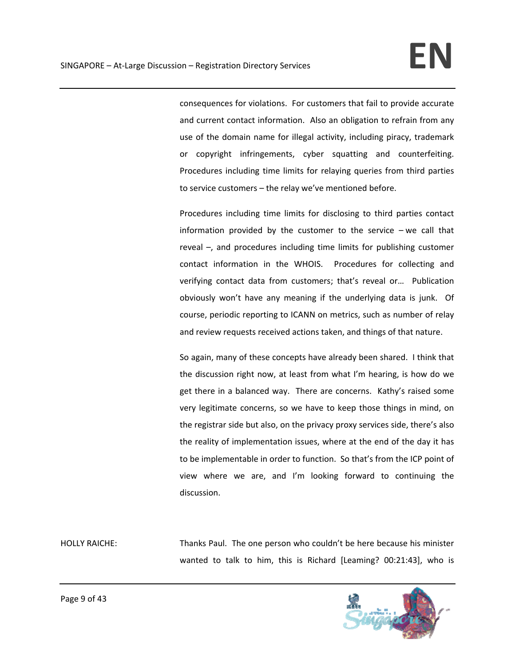consequences for violations. For customers that fail to provide accurate and current contact information. Also an obligation to refrain from any use of the domain name for illegal activity, including piracy, trademark or copyright infringements, cyber squatting and counterfeiting. Procedures including time limits for relaying queries from third parties to service customers – the relay we've mentioned before.

Procedures including time limits for disclosing to third parties contact information provided by the customer to the service  $-$  we call that reveal –, and procedures including time limits for publishing customer contact information in the WHOIS. Procedures for collecting and verifying contact data from customers; that's reveal or… Publication obviously won't have any meaning if the underlying data is junk. Of course, periodic reporting to ICANN on metrics, such as number of relay and review requests received actions taken, and things of that nature.

So again, many of these concepts have already been shared. I think that the discussion right now, at least from what I'm hearing, is how do we get there in a balanced way. There are concerns. Kathy's raised some very legitimate concerns, so we have to keep those things in mind, on the registrar side but also, on the privacy proxy services side, there's also the reality of implementation issues, where at the end of the day it has to be implementable in order to function. So that's from the ICP point of view where we are, and I'm looking forward to continuing the discussion.

HOLLY RAICHE: Thanks Paul. The one person who couldn't be here because his minister wanted to talk to him, this is Richard [Leaming? 00:21:43], who is

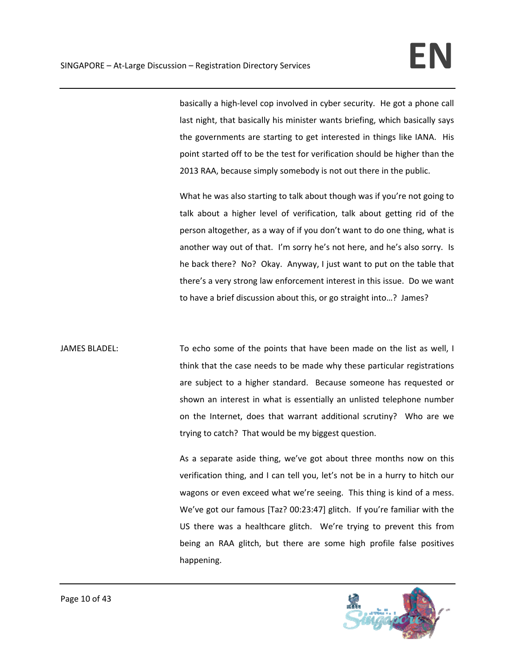basically a high‐level cop involved in cyber security. He got a phone call last night, that basically his minister wants briefing, which basically says the governments are starting to get interested in things like IANA. His point started off to be the test for verification should be higher than the 2013 RAA, because simply somebody is not out there in the public.

What he was also starting to talk about though was if you're not going to talk about a higher level of verification, talk about getting rid of the person altogether, as a way of if you don't want to do one thing, what is another way out of that. I'm sorry he's not here, and he's also sorry. Is he back there? No? Okay. Anyway, I just want to put on the table that there's a very strong law enforcement interest in this issue. Do we want to have a brief discussion about this, or go straight into…? James?

JAMES BLADEL: To echo some of the points that have been made on the list as well, I think that the case needs to be made why these particular registrations are subject to a higher standard. Because someone has requested or shown an interest in what is essentially an unlisted telephone number on the Internet, does that warrant additional scrutiny? Who are we trying to catch? That would be my biggest question.

> As a separate aside thing, we've got about three months now on this verification thing, and I can tell you, let's not be in a hurry to hitch our wagons or even exceed what we're seeing. This thing is kind of a mess. We've got our famous [Taz? 00:23:47] glitch. If you're familiar with the US there was a healthcare glitch. We're trying to prevent this from being an RAA glitch, but there are some high profile false positives happening.

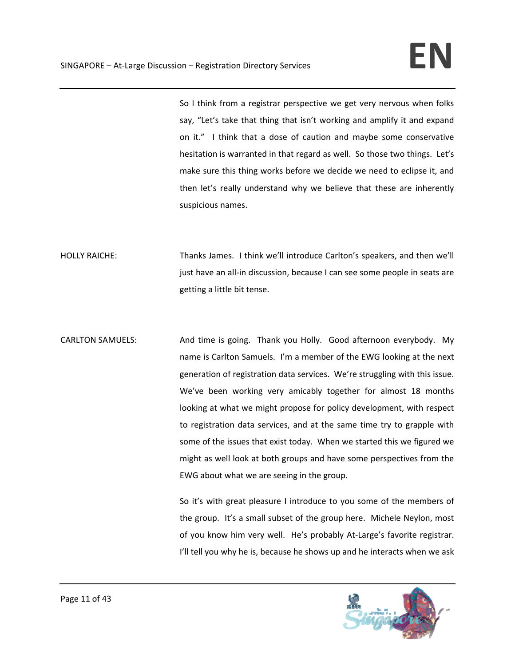So I think from a registrar perspective we get very nervous when folks say, "Let's take that thing that isn't working and amplify it and expand on it." I think that a dose of caution and maybe some conservative hesitation is warranted in that regard as well. So those two things. Let's make sure this thing works before we decide we need to eclipse it, and then let's really understand why we believe that these are inherently suspicious names.

HOLLY RAICHE: Thanks James. I think we'll introduce Carlton's speakers, and then we'll just have an all-in discussion, because I can see some people in seats are getting a little bit tense.

CARLTON SAMUELS: And time is going. Thank you Holly. Good afternoon everybody. My name is Carlton Samuels. I'm a member of the EWG looking at the next generation of registration data services. We're struggling with this issue. We've been working very amicably together for almost 18 months looking at what we might propose for policy development, with respect to registration data services, and at the same time try to grapple with some of the issues that exist today. When we started this we figured we might as well look at both groups and have some perspectives from the EWG about what we are seeing in the group.

> So it's with great pleasure I introduce to you some of the members of the group. It's a small subset of the group here. Michele Neylon, most of you know him very well. He's probably At‐Large's favorite registrar. I'll tell you why he is, because he shows up and he interacts when we ask

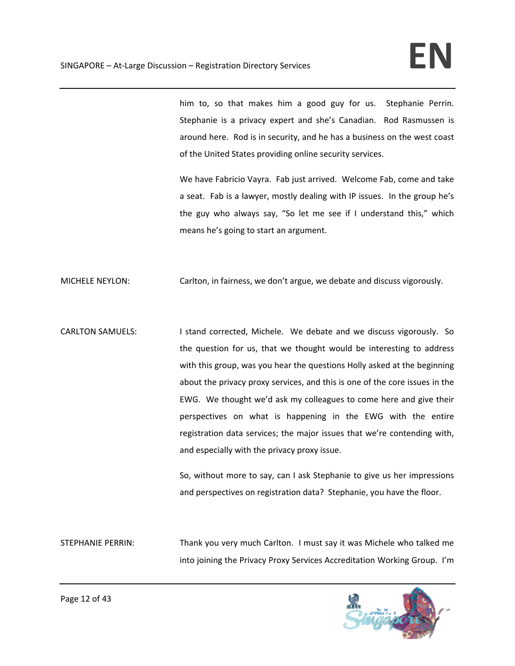him to, so that makes him a good guy for us. Stephanie Perrin. Stephanie is a privacy expert and she's Canadian. Rod Rasmussen is around here. Rod is in security, and he has a business on the west coast of the United States providing online security services.

We have Fabricio Vayra. Fab just arrived. Welcome Fab, come and take a seat. Fab is a lawyer, mostly dealing with IP issues. In the group he's the guy who always say, "So let me see if I understand this," which means he's going to start an argument.

MICHELE NEYLON: Carlton, in fairness, we don't argue, we debate and discuss vigorously.

CARLTON SAMUELS: I stand corrected, Michele. We debate and we discuss vigorously. So the question for us, that we thought would be interesting to address with this group, was you hear the questions Holly asked at the beginning about the privacy proxy services, and this is one of the core issues in the EWG. We thought we'd ask my colleagues to come here and give their perspectives on what is happening in the EWG with the entire registration data services; the major issues that we're contending with, and especially with the privacy proxy issue.

> So, without more to say, can I ask Stephanie to give us her impressions and perspectives on registration data? Stephanie, you have the floor.

STEPHANIE PERRIN: Thank you very much Carlton. I must say it was Michele who talked me into joining the Privacy Proxy Services Accreditation Working Group. I'm

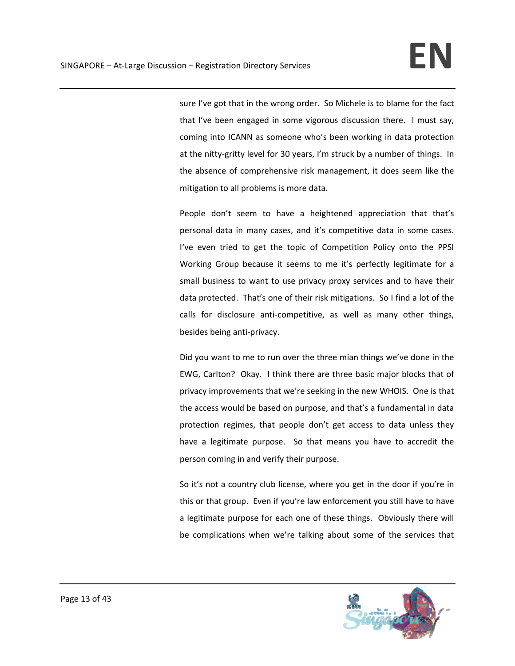sure I've got that in the wrong order. So Michele is to blame for the fact that I've been engaged in some vigorous discussion there. I must say, coming into ICANN as someone who's been working in data protection at the nitty‐gritty level for 30 years, I'm struck by a number of things. In the absence of comprehensive risk management, it does seem like the mitigation to all problems is more data.

People don't seem to have a heightened appreciation that that's personal data in many cases, and it's competitive data in some cases. I've even tried to get the topic of Competition Policy onto the PPSI Working Group because it seems to me it's perfectly legitimate for a small business to want to use privacy proxy services and to have their data protected. That's one of their risk mitigations. So I find a lot of the calls for disclosure anti-competitive, as well as many other things, besides being anti‐privacy.

Did you want to me to run over the three mian things we've done in the EWG, Carlton? Okay. I think there are three basic major blocks that of privacy improvements that we're seeking in the new WHOIS. One is that the access would be based on purpose, and that's a fundamental in data protection regimes, that people don't get access to data unless they have a legitimate purpose. So that means you have to accredit the person coming in and verify their purpose.

So it's not a country club license, where you get in the door if you're in this or that group. Even if you're law enforcement you still have to have a legitimate purpose for each one of these things. Obviously there will be complications when we're talking about some of the services that

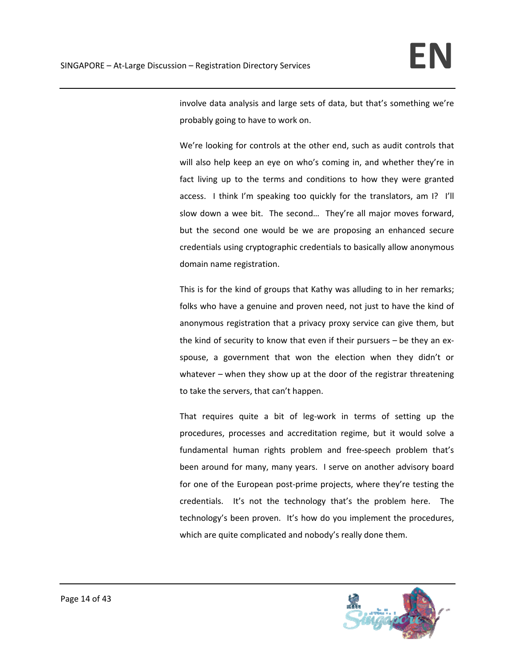involve data analysis and large sets of data, but that's something we're probably going to have to work on.

We're looking for controls at the other end, such as audit controls that will also help keep an eye on who's coming in, and whether they're in fact living up to the terms and conditions to how they were granted access. I think I'm speaking too quickly for the translators, am I? I'll slow down a wee bit. The second… They're all major moves forward, but the second one would be we are proposing an enhanced secure credentials using cryptographic credentials to basically allow anonymous domain name registration.

This is for the kind of groups that Kathy was alluding to in her remarks; folks who have a genuine and proven need, not just to have the kind of anonymous registration that a privacy proxy service can give them, but the kind of security to know that even if their pursuers – be they an ex‐ spouse, a government that won the election when they didn't or whatever – when they show up at the door of the registrar threatening to take the servers, that can't happen.

That requires quite a bit of leg-work in terms of setting up the procedures, processes and accreditation regime, but it would solve a fundamental human rights problem and free-speech problem that's been around for many, many years. I serve on another advisory board for one of the European post-prime projects, where they're testing the credentials. It's not the technology that's the problem here. The technology's been proven. It's how do you implement the procedures, which are quite complicated and nobody's really done them.

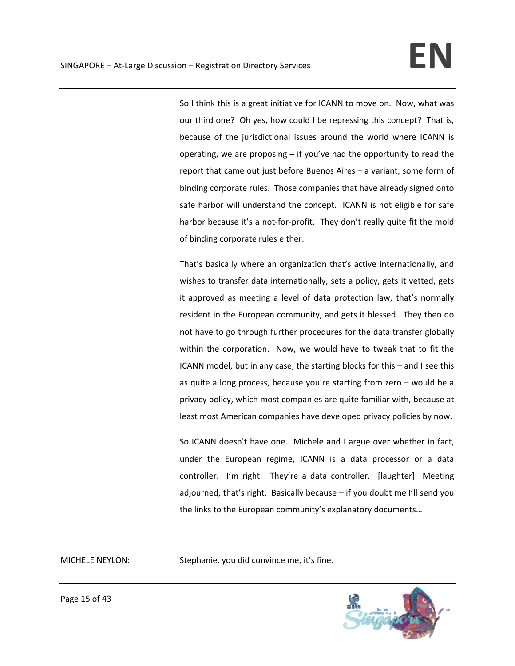So I think this is a great initiative for ICANN to move on. Now, what was our third one? Oh yes, how could I be repressing this concept? That is, because of the jurisdictional issues around the world where ICANN is operating, we are proposing – if you've had the opportunity to read the report that came out just before Buenos Aires – a variant, some form of binding corporate rules. Those companies that have already signed onto safe harbor will understand the concept. ICANN is not eligible for safe harbor because it's a not-for-profit. They don't really quite fit the mold of binding corporate rules either.

That's basically where an organization that's active internationally, and wishes to transfer data internationally, sets a policy, gets it vetted, gets it approved as meeting a level of data protection law, that's normally resident in the European community, and gets it blessed. They then do not have to go through further procedures for the data transfer globally within the corporation. Now, we would have to tweak that to fit the ICANN model, but in any case, the starting blocks for this – and I see this as quite a long process, because you're starting from zero – would be a privacy policy, which most companies are quite familiar with, because at least most American companies have developed privacy policies by now.

So ICANN doesn't have one. Michele and I argue over whether in fact, under the European regime, ICANN is a data processor or a data controller. I'm right. They're a data controller. [laughter] Meeting adjourned, that's right. Basically because – if you doubt me I'll send you the links to the European community's explanatory documents…

MICHELE NEYLON: Stephanie, you did convince me, it's fine.

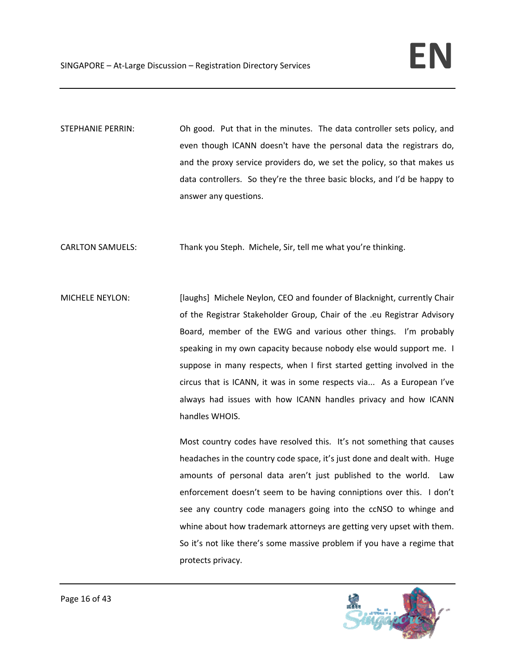- STEPHANIE PERRIN: Oh good. Put that in the minutes. The data controller sets policy, and even though ICANN doesn't have the personal data the registrars do, and the proxy service providers do, we set the policy, so that makes us data controllers. So they're the three basic blocks, and I'd be happy to answer any questions.
- CARLTON SAMUELS: Thank you Steph. Michele, Sir, tell me what you're thinking.
- MICHELE NEYLON: [laughs] Michele Neylon, CEO and founder of Blacknight, currently Chair of the Registrar Stakeholder Group, Chair of the .eu Registrar Advisory Board, member of the EWG and various other things. I'm probably speaking in my own capacity because nobody else would support me. I suppose in many respects, when I first started getting involved in the circus that is ICANN, it was in some respects via... As a European I've always had issues with how ICANN handles privacy and how ICANN handles WHOIS.

Most country codes have resolved this. It's not something that causes headaches in the country code space, it's just done and dealt with. Huge amounts of personal data aren't just published to the world. Law enforcement doesn't seem to be having conniptions over this. I don't see any country code managers going into the ccNSO to whinge and whine about how trademark attorneys are getting very upset with them. So it's not like there's some massive problem if you have a regime that protects privacy.

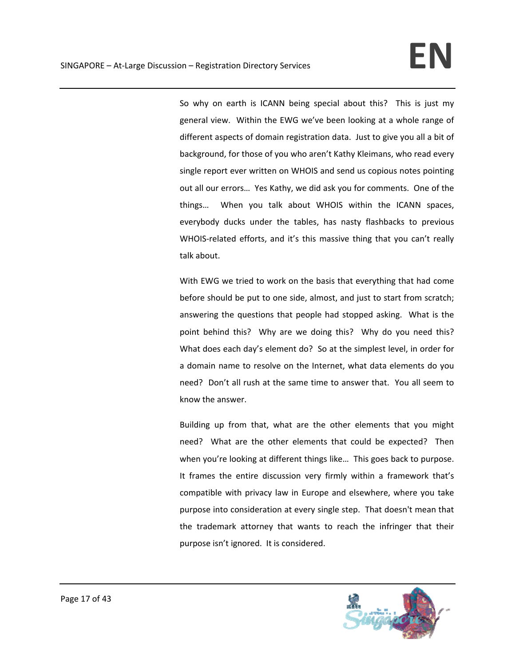So why on earth is ICANN being special about this? This is just my general view. Within the EWG we've been looking at a whole range of different aspects of domain registration data. Just to give you all a bit of background, for those of you who aren't Kathy Kleimans, who read every single report ever written on WHOIS and send us copious notes pointing out all our errors… Yes Kathy, we did ask you for comments. One of the things… When you talk about WHOIS within the ICANN spaces, everybody ducks under the tables, has nasty flashbacks to previous WHOIS‐related efforts, and it's this massive thing that you can't really talk about.

With EWG we tried to work on the basis that everything that had come before should be put to one side, almost, and just to start from scratch; answering the questions that people had stopped asking. What is the point behind this? Why are we doing this? Why do you need this? What does each day's element do? So at the simplest level, in order for a domain name to resolve on the Internet, what data elements do you need? Don't all rush at the same time to answer that. You all seem to know the answer.

Building up from that, what are the other elements that you might need? What are the other elements that could be expected? Then when you're looking at different things like… This goes back to purpose. It frames the entire discussion very firmly within a framework that's compatible with privacy law in Europe and elsewhere, where you take purpose into consideration at every single step. That doesn't mean that the trademark attorney that wants to reach the infringer that their purpose isn't ignored. It is considered.

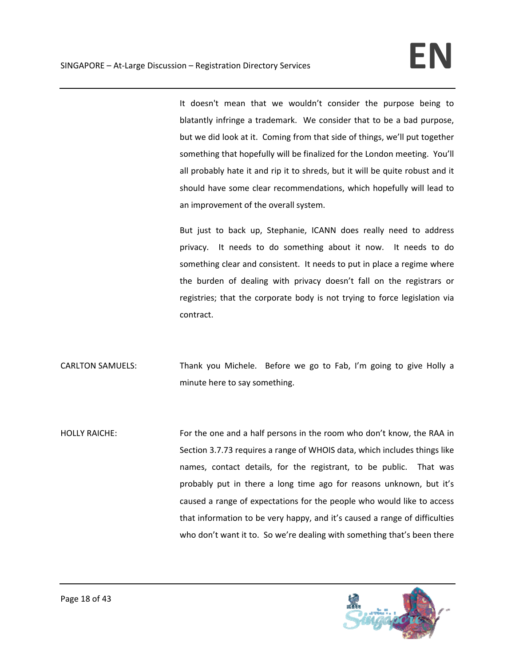It doesn't mean that we wouldn't consider the purpose being to blatantly infringe a trademark. We consider that to be a bad purpose, but we did look at it. Coming from that side of things, we'll put together something that hopefully will be finalized for the London meeting. You'll all probably hate it and rip it to shreds, but it will be quite robust and it should have some clear recommendations, which hopefully will lead to an improvement of the overall system.

But just to back up, Stephanie, ICANN does really need to address privacy. It needs to do something about it now. It needs to do something clear and consistent. It needs to put in place a regime where the burden of dealing with privacy doesn't fall on the registrars or registries; that the corporate body is not trying to force legislation via contract.

CARLTON SAMUELS: Thank you Michele. Before we go to Fab, I'm going to give Holly a minute here to say something.

HOLLY RAICHE: For the one and a half persons in the room who don't know, the RAA in Section 3.7.73 requires a range of WHOIS data, which includes things like names, contact details, for the registrant, to be public. That was probably put in there a long time ago for reasons unknown, but it's caused a range of expectations for the people who would like to access that information to be very happy, and it's caused a range of difficulties who don't want it to. So we're dealing with something that's been there

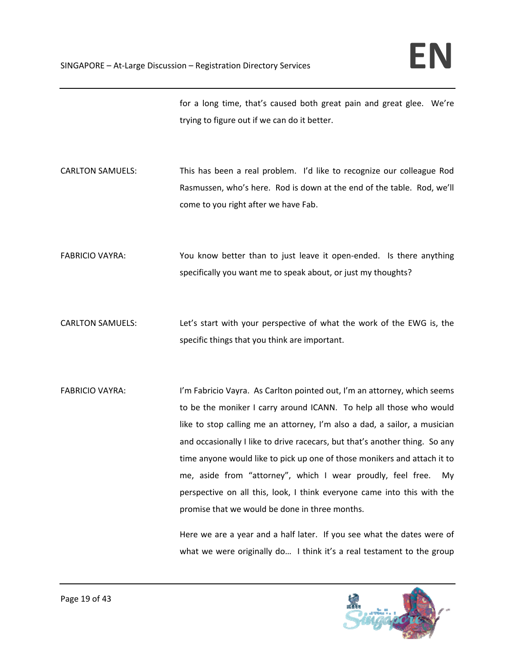for a long time, that's caused both great pain and great glee. We're trying to figure out if we can do it better.

- CARLTON SAMUELS: This has been a real problem. I'd like to recognize our colleague Rod Rasmussen, who's here. Rod is down at the end of the table. Rod, we'll come to you right after we have Fab.
- FABRICIO VAYRA: You know better than to just leave it open-ended. Is there anything specifically you want me to speak about, or just my thoughts?
- CARLTON SAMUELS: Let's start with your perspective of what the work of the EWG is, the specific things that you think are important.
- FABRICIO VAYRA: I'm Fabricio Vayra. As Carlton pointed out, I'm an attorney, which seems to be the moniker I carry around ICANN. To help all those who would like to stop calling me an attorney, I'm also a dad, a sailor, a musician and occasionally I like to drive racecars, but that's another thing. So any time anyone would like to pick up one of those monikers and attach it to me, aside from "attorney", which I wear proudly, feel free. My perspective on all this, look, I think everyone came into this with the promise that we would be done in three months.

Here we are a year and a half later. If you see what the dates were of what we were originally do... I think it's a real testament to the group

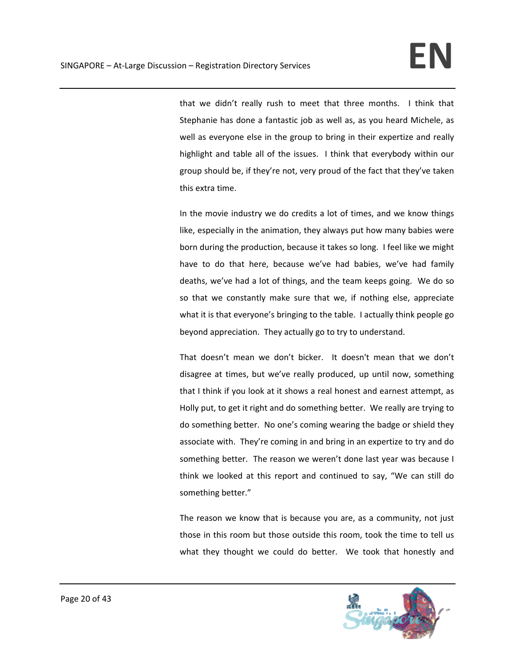that we didn't really rush to meet that three months. I think that Stephanie has done a fantastic job as well as, as you heard Michele, as well as everyone else in the group to bring in their expertize and really highlight and table all of the issues. I think that everybody within our group should be, if they're not, very proud of the fact that they've taken this extra time.

In the movie industry we do credits a lot of times, and we know things like, especially in the animation, they always put how many babies were born during the production, because it takes so long. I feel like we might have to do that here, because we've had babies, we've had family deaths, we've had a lot of things, and the team keeps going. We do so so that we constantly make sure that we, if nothing else, appreciate what it is that everyone's bringing to the table. I actually think people go beyond appreciation. They actually go to try to understand.

That doesn't mean we don't bicker. It doesn't mean that we don't disagree at times, but we've really produced, up until now, something that I think if you look at it shows a real honest and earnest attempt, as Holly put, to get it right and do something better. We really are trying to do something better. No one's coming wearing the badge or shield they associate with. They're coming in and bring in an expertize to try and do something better. The reason we weren't done last year was because I think we looked at this report and continued to say, "We can still do something better."

The reason we know that is because you are, as a community, not just those in this room but those outside this room, took the time to tell us what they thought we could do better. We took that honestly and

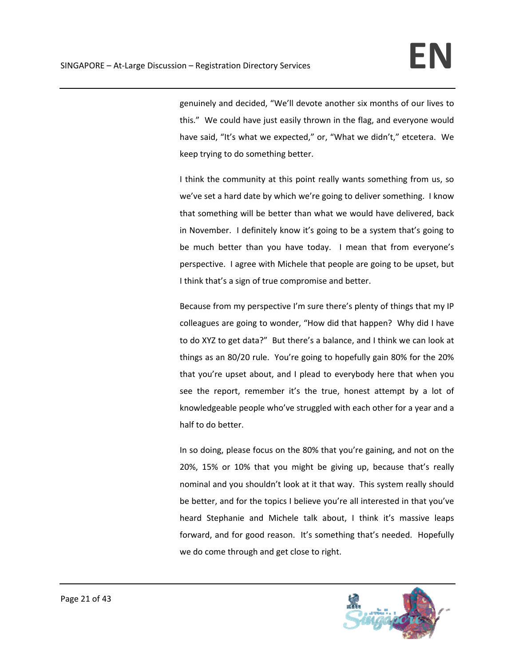genuinely and decided, "We'll devote another six months of our lives to this." We could have just easily thrown in the flag, and everyone would have said, "It's what we expected," or, "What we didn't," etcetera. We keep trying to do something better.

I think the community at this point really wants something from us, so we've set a hard date by which we're going to deliver something. I know that something will be better than what we would have delivered, back in November. I definitely know it's going to be a system that's going to be much better than you have today. I mean that from everyone's perspective. I agree with Michele that people are going to be upset, but I think that's a sign of true compromise and better.

Because from my perspective I'm sure there's plenty of things that my IP colleagues are going to wonder, "How did that happen? Why did I have to do XYZ to get data?" But there's a balance, and I think we can look at things as an 80/20 rule. You're going to hopefully gain 80% for the 20% that you're upset about, and I plead to everybody here that when you see the report, remember it's the true, honest attempt by a lot of knowledgeable people who've struggled with each other for a year and a half to do better.

In so doing, please focus on the 80% that you're gaining, and not on the 20%, 15% or 10% that you might be giving up, because that's really nominal and you shouldn't look at it that way. This system really should be better, and for the topics I believe you're all interested in that you've heard Stephanie and Michele talk about, I think it's massive leaps forward, and for good reason. It's something that's needed. Hopefully we do come through and get close to right.

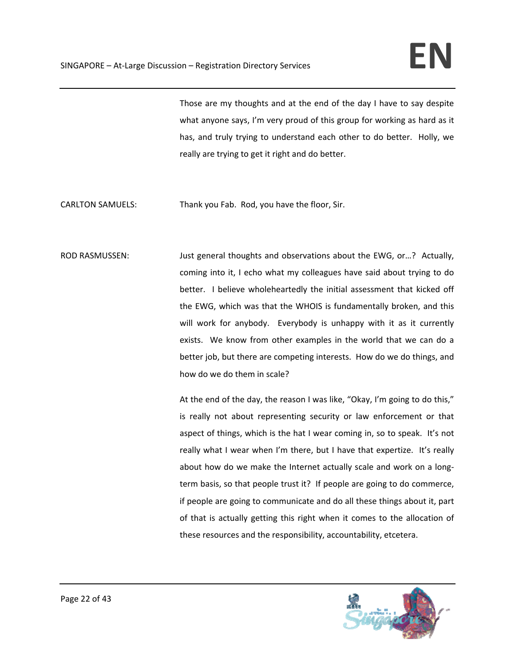Those are my thoughts and at the end of the day I have to say despite what anyone says, I'm very proud of this group for working as hard as it has, and truly trying to understand each other to do better. Holly, we really are trying to get it right and do better.

CARLTON SAMUELS: Thank you Fab. Rod, you have the floor, Sir.

ROD RASMUSSEN: Just general thoughts and observations about the EWG, or…? Actually, coming into it, I echo what my colleagues have said about trying to do better. I believe wholeheartedly the initial assessment that kicked off the EWG, which was that the WHOIS is fundamentally broken, and this will work for anybody. Everybody is unhappy with it as it currently exists. We know from other examples in the world that we can do a better job, but there are competing interests. How do we do things, and how do we do them in scale?

> At the end of the day, the reason I was like, "Okay, I'm going to do this," is really not about representing security or law enforcement or that aspect of things, which is the hat I wear coming in, so to speak. It's not really what I wear when I'm there, but I have that expertize. It's really about how do we make the Internet actually scale and work on a long‐ term basis, so that people trust it? If people are going to do commerce, if people are going to communicate and do all these things about it, part of that is actually getting this right when it comes to the allocation of these resources and the responsibility, accountability, etcetera.

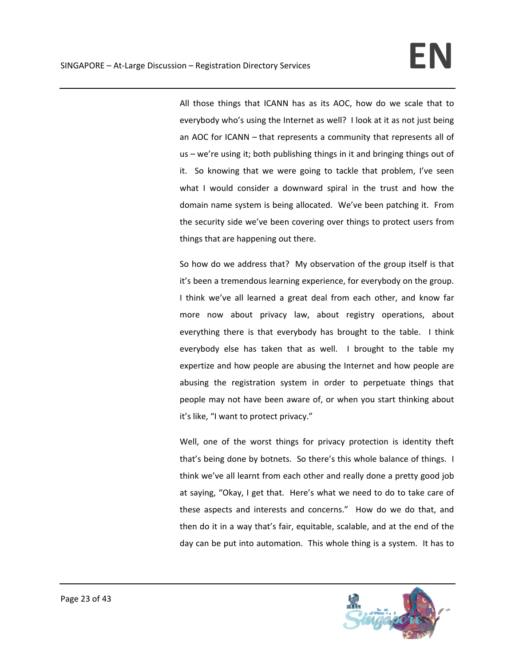All those things that ICANN has as its AOC, how do we scale that to everybody who's using the Internet as well? I look at it as not just being an AOC for ICANN – that represents a community that represents all of us – we're using it; both publishing things in it and bringing things out of it. So knowing that we were going to tackle that problem, I've seen what I would consider a downward spiral in the trust and how the domain name system is being allocated. We've been patching it. From the security side we've been covering over things to protect users from things that are happening out there.

So how do we address that? My observation of the group itself is that it's been a tremendous learning experience, for everybody on the group. I think we've all learned a great deal from each other, and know far more now about privacy law, about registry operations, about everything there is that everybody has brought to the table. I think everybody else has taken that as well. I brought to the table my expertize and how people are abusing the Internet and how people are abusing the registration system in order to perpetuate things that people may not have been aware of, or when you start thinking about it's like, "I want to protect privacy."

Well, one of the worst things for privacy protection is identity theft that's being done by botnets. So there's this whole balance of things. I think we've all learnt from each other and really done a pretty good job at saying, "Okay, I get that. Here's what we need to do to take care of these aspects and interests and concerns." How do we do that, and then do it in a way that's fair, equitable, scalable, and at the end of the day can be put into automation. This whole thing is a system. It has to

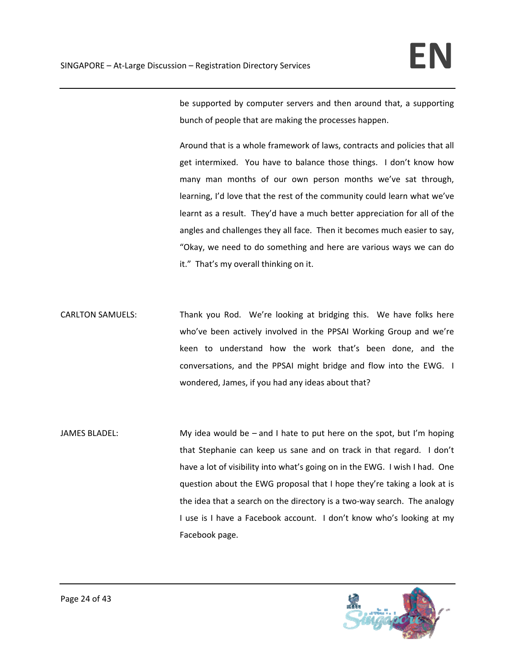be supported by computer servers and then around that, a supporting bunch of people that are making the processes happen.

Around that is a whole framework of laws, contracts and policies that all get intermixed. You have to balance those things. I don't know how many man months of our own person months we've sat through, learning, I'd love that the rest of the community could learn what we've learnt as a result. They'd have a much better appreciation for all of the angles and challenges they all face. Then it becomes much easier to say, "Okay, we need to do something and here are various ways we can do it." That's my overall thinking on it.

CARLTON SAMUELS: Thank you Rod. We're looking at bridging this. We have folks here who've been actively involved in the PPSAI Working Group and we're keen to understand how the work that's been done, and the conversations, and the PPSAI might bridge and flow into the EWG. I wondered, James, if you had any ideas about that?

JAMES BLADEL: My idea would be – and I hate to put here on the spot, but I'm hoping that Stephanie can keep us sane and on track in that regard. I don't have a lot of visibility into what's going on in the EWG. I wish I had. One question about the EWG proposal that I hope they're taking a look at is the idea that a search on the directory is a two‐way search. The analogy I use is I have a Facebook account. I don't know who's looking at my Facebook page.

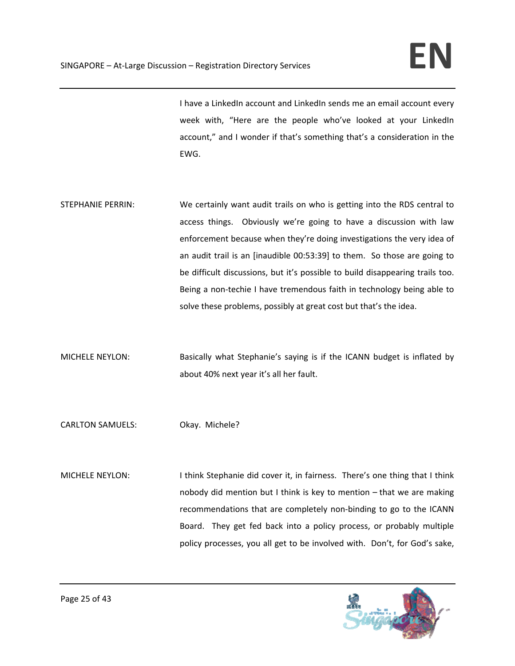I have a LinkedIn account and LinkedIn sends me an email account every week with, "Here are the people who've looked at your LinkedIn account," and I wonder if that's something that's a consideration in the EWG.

- STEPHANIE PERRIN: We certainly want audit trails on who is getting into the RDS central to access things. Obviously we're going to have a discussion with law enforcement because when they're doing investigations the very idea of an audit trail is an [inaudible 00:53:39] to them. So those are going to be difficult discussions, but it's possible to build disappearing trails too. Being a non-techie I have tremendous faith in technology being able to solve these problems, possibly at great cost but that's the idea.
- MICHELE NEYLON: Basically what Stephanie's saying is if the ICANN budget is inflated by about 40% next year it's all her fault.
- CARLTON SAMUELS: Okay. Michele?
- MICHELE NEYLON: I think Stephanie did cover it, in fairness. There's one thing that I think nobody did mention but I think is key to mention – that we are making recommendations that are completely non‐binding to go to the ICANN Board. They get fed back into a policy process, or probably multiple policy processes, you all get to be involved with. Don't, for God's sake,

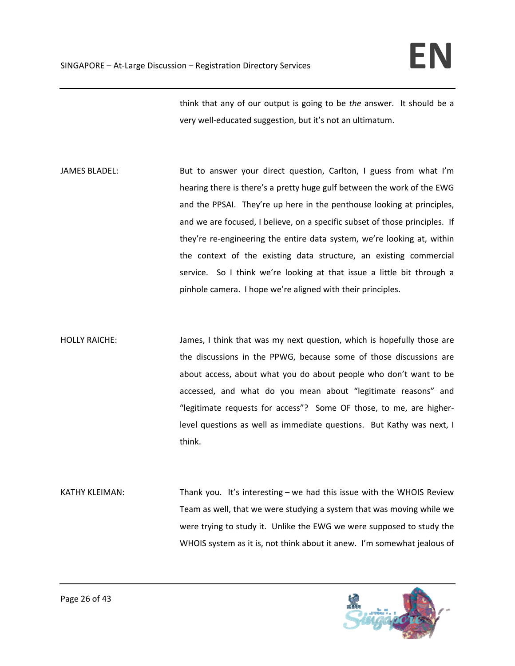think that any of our output is going to be *the* answer. It should be a very well‐educated suggestion, but it's not an ultimatum.

JAMES BLADEL: But to answer your direct question, Carlton, I guess from what I'm hearing there is there's a pretty huge gulf between the work of the EWG and the PPSAI. They're up here in the penthouse looking at principles, and we are focused, I believe, on a specific subset of those principles. If they're re‐engineering the entire data system, we're looking at, within the context of the existing data structure, an existing commercial service. So I think we're looking at that issue a little bit through a pinhole camera. I hope we're aligned with their principles.

HOLLY RAICHE: James, I think that was my next question, which is hopefully those are the discussions in the PPWG, because some of those discussions are about access, about what you do about people who don't want to be accessed, and what do you mean about "legitimate reasons" and "legitimate requests for access"? Some OF those, to me, are higher‐ level questions as well as immediate questions. But Kathy was next, I think.

KATHY KLEIMAN: Thank you. It's interesting – we had this issue with the WHOIS Review Team as well, that we were studying a system that was moving while we were trying to study it. Unlike the EWG we were supposed to study the WHOIS system as it is, not think about it anew. I'm somewhat jealous of

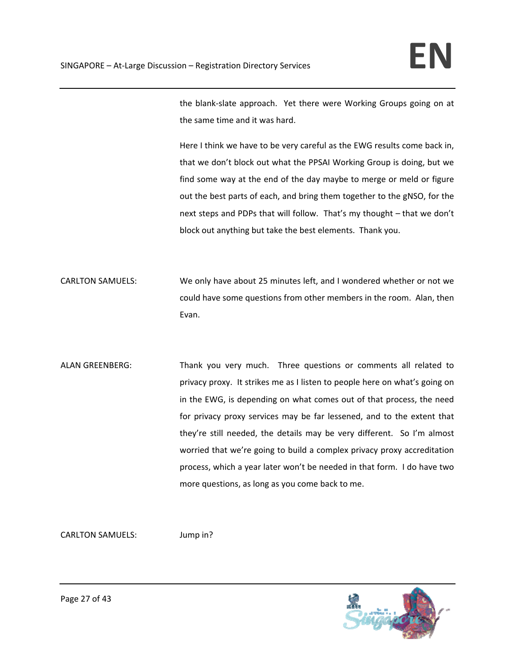the blank‐slate approach. Yet there were Working Groups going on at the same time and it was hard.

Here I think we have to be very careful as the EWG results come back in, that we don't block out what the PPSAI Working Group is doing, but we find some way at the end of the day maybe to merge or meld or figure out the best parts of each, and bring them together to the gNSO, for the next steps and PDPs that will follow. That's my thought – that we don't block out anything but take the best elements. Thank you.

CARLTON SAMUELS: We only have about 25 minutes left, and I wondered whether or not we could have some questions from other members in the room. Alan, then Evan.

ALAN GREENBERG: Thank you very much. Three questions or comments all related to privacy proxy. It strikes me as I listen to people here on what's going on in the EWG, is depending on what comes out of that process, the need for privacy proxy services may be far lessened, and to the extent that they're still needed, the details may be very different. So I'm almost worried that we're going to build a complex privacy proxy accreditation process, which a year later won't be needed in that form. I do have two more questions, as long as you come back to me.

CARLTON SAMUELS: Jump in?

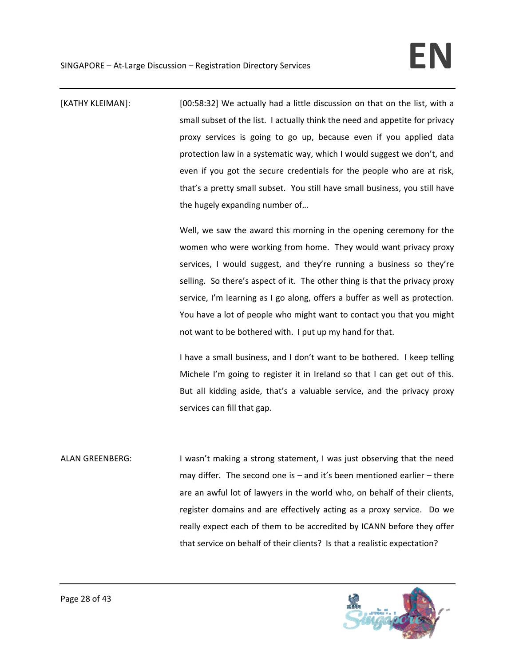[KATHY KLEIMAN]: [00:58:32] We actually had a little discussion on that on the list, with a small subset of the list. I actually think the need and appetite for privacy proxy services is going to go up, because even if you applied data protection law in a systematic way, which I would suggest we don't, and even if you got the secure credentials for the people who are at risk, that's a pretty small subset. You still have small business, you still have the hugely expanding number of…

> Well, we saw the award this morning in the opening ceremony for the women who were working from home. They would want privacy proxy services, I would suggest, and they're running a business so they're selling. So there's aspect of it. The other thing is that the privacy proxy service, I'm learning as I go along, offers a buffer as well as protection. You have a lot of people who might want to contact you that you might not want to be bothered with. I put up my hand for that.

> I have a small business, and I don't want to be bothered. I keep telling Michele I'm going to register it in Ireland so that I can get out of this. But all kidding aside, that's a valuable service, and the privacy proxy services can fill that gap.

ALAN GREENBERG: I wasn't making a strong statement, I was just observing that the need may differ. The second one is  $-$  and it's been mentioned earlier  $-$  there are an awful lot of lawyers in the world who, on behalf of their clients, register domains and are effectively acting as a proxy service. Do we really expect each of them to be accredited by ICANN before they offer that service on behalf of their clients? Is that a realistic expectation?

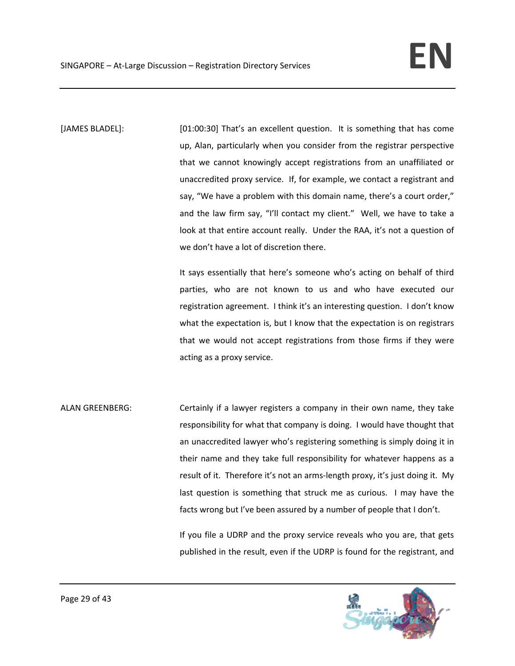[JAMES BLADEL]: [01:00:30] That's an excellent question. It is something that has come up, Alan, particularly when you consider from the registrar perspective that we cannot knowingly accept registrations from an unaffiliated or unaccredited proxy service. If, for example, we contact a registrant and say, "We have a problem with this domain name, there's a court order," and the law firm say, "I'll contact my client." Well, we have to take a look at that entire account really. Under the RAA, it's not a question of we don't have a lot of discretion there.

> It says essentially that here's someone who's acting on behalf of third parties, who are not known to us and who have executed our registration agreement. I think it's an interesting question. I don't know what the expectation is, but I know that the expectation is on registrars that we would not accept registrations from those firms if they were acting as a proxy service.

ALAN GREENBERG: Certainly if a lawyer registers a company in their own name, they take responsibility for what that company is doing. I would have thought that an unaccredited lawyer who's registering something is simply doing it in their name and they take full responsibility for whatever happens as a result of it. Therefore it's not an arms-length proxy, it's just doing it. My last question is something that struck me as curious. I may have the facts wrong but I've been assured by a number of people that I don't.

> If you file a UDRP and the proxy service reveals who you are, that gets published in the result, even if the UDRP is found for the registrant, and

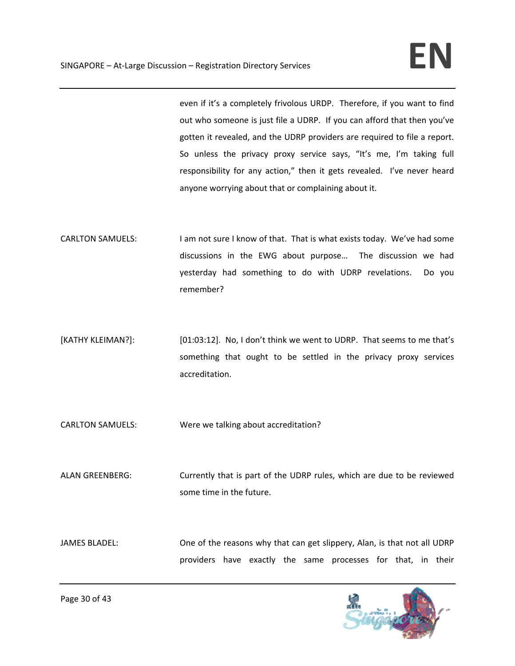even if it's a completely frivolous URDP. Therefore, if you want to find out who someone is just file a UDRP. If you can afford that then you've gotten it revealed, and the UDRP providers are required to file a report. So unless the privacy proxy service says, "It's me, I'm taking full responsibility for any action," then it gets revealed. I've never heard anyone worrying about that or complaining about it.

- CARLTON SAMUELS: I am not sure I know of that. That is what exists today. We've had some discussions in the EWG about purpose… The discussion we had yesterday had something to do with UDRP revelations. Do you remember?
- [KATHY KLEIMAN?]: [01:03:12]. No, I don't think we went to UDRP. That seems to me that's something that ought to be settled in the privacy proxy services accreditation.

CARLTON SAMUELS: Were we talking about accreditation?

- ALAN GREENBERG: Currently that is part of the UDRP rules, which are due to be reviewed some time in the future.
- JAMES BLADEL: One of the reasons why that can get slippery, Alan, is that not all UDRP providers have exactly the same processes for that, in their

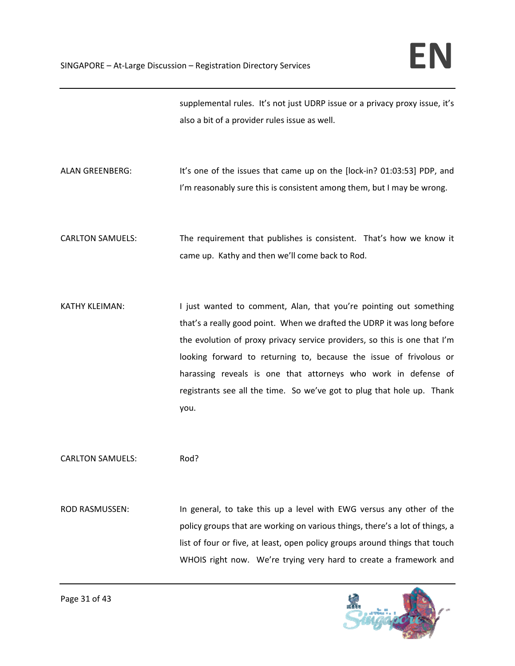supplemental rules. It's not just UDRP issue or a privacy proxy issue, it's also a bit of a provider rules issue as well.

- ALAN GREENBERG: It's one of the issues that came up on the [lock-in? 01:03:53] PDP, and I'm reasonably sure this is consistent among them, but I may be wrong.
- CARLTON SAMUELS: The requirement that publishes is consistent. That's how we know it came up. Kathy and then we'll come back to Rod.
- KATHY KLEIMAN: I just wanted to comment, Alan, that you're pointing out something that's a really good point. When we drafted the UDRP it was long before the evolution of proxy privacy service providers, so this is one that I'm looking forward to returning to, because the issue of frivolous or harassing reveals is one that attorneys who work in defense of registrants see all the time. So we've got to plug that hole up. Thank you.

CARLTON SAMUELS: Rod?

ROD RASMUSSEN: In general, to take this up a level with EWG versus any other of the policy groups that are working on various things, there's a lot of things, a list of four or five, at least, open policy groups around things that touch WHOIS right now. We're trying very hard to create a framework and

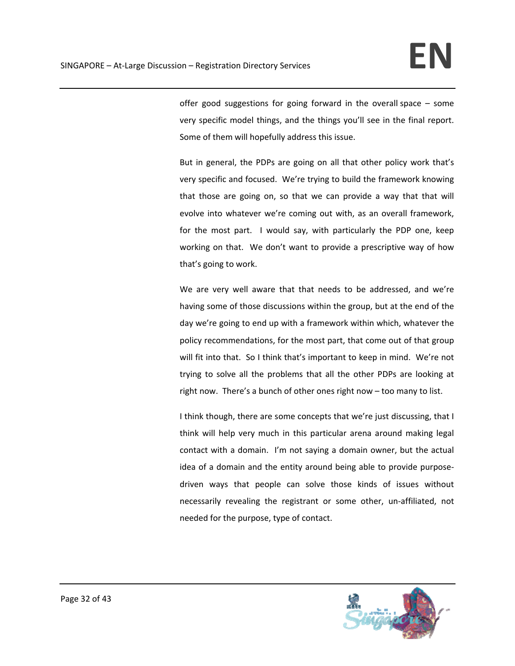offer good suggestions for going forward in the overall space – some very specific model things, and the things you'll see in the final report. Some of them will hopefully address this issue.

But in general, the PDPs are going on all that other policy work that's very specific and focused. We're trying to build the framework knowing that those are going on, so that we can provide a way that that will evolve into whatever we're coming out with, as an overall framework, for the most part. I would say, with particularly the PDP one, keep working on that. We don't want to provide a prescriptive way of how that's going to work.

We are very well aware that that needs to be addressed, and we're having some of those discussions within the group, but at the end of the day we're going to end up with a framework within which, whatever the policy recommendations, for the most part, that come out of that group will fit into that. So I think that's important to keep in mind. We're not trying to solve all the problems that all the other PDPs are looking at right now. There's a bunch of other ones right now – too many to list.

I think though, there are some concepts that we're just discussing, that I think will help very much in this particular arena around making legal contact with a domain. I'm not saying a domain owner, but the actual idea of a domain and the entity around being able to provide purpose‐ driven ways that people can solve those kinds of issues without necessarily revealing the registrant or some other, un‐affiliated, not needed for the purpose, type of contact.

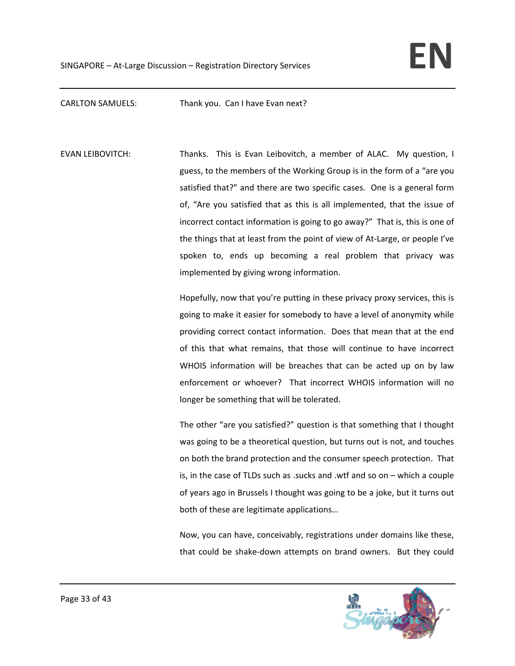## CARLTON SAMUELS: Thank you. Can I have Evan next?

EVAN LEIBOVITCH: Thanks. This is Evan Leibovitch, a member of ALAC. My question, I guess, to the members of the Working Group is in the form of a "are you satisfied that?" and there are two specific cases. One is a general form of, "Are you satisfied that as this is all implemented, that the issue of incorrect contact information is going to go away?" That is, this is one of the things that at least from the point of view of At‐Large, or people I've spoken to, ends up becoming a real problem that privacy was implemented by giving wrong information.

> Hopefully, now that you're putting in these privacy proxy services, this is going to make it easier for somebody to have a level of anonymity while providing correct contact information. Does that mean that at the end of this that what remains, that those will continue to have incorrect WHOIS information will be breaches that can be acted up on by law enforcement or whoever? That incorrect WHOIS information will no longer be something that will be tolerated.

> The other "are you satisfied?" question is that something that I thought was going to be a theoretical question, but turns out is not, and touches on both the brand protection and the consumer speech protection. That is, in the case of TLDs such as .sucks and .wtf and so on – which a couple of years ago in Brussels I thought was going to be a joke, but it turns out both of these are legitimate applications…

> Now, you can have, conceivably, registrations under domains like these, that could be shake‐down attempts on brand owners. But they could

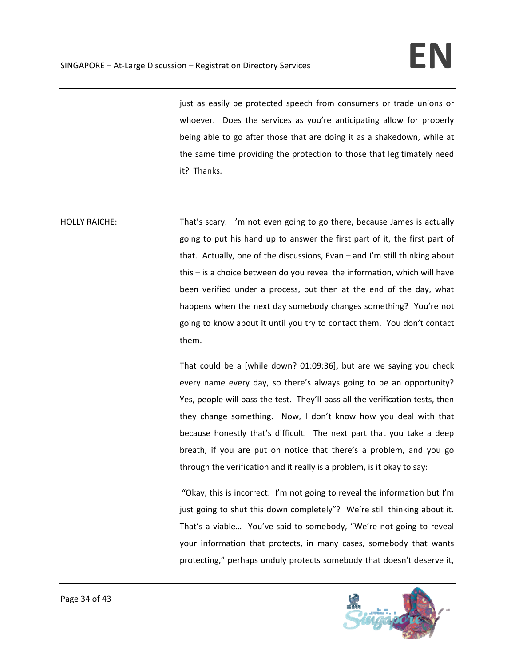just as easily be protected speech from consumers or trade unions or whoever. Does the services as you're anticipating allow for properly being able to go after those that are doing it as a shakedown, while at the same time providing the protection to those that legitimately need it? Thanks.

HOLLY RAICHE: That's scary. I'm not even going to go there, because James is actually going to put his hand up to answer the first part of it, the first part of that. Actually, one of the discussions, Evan – and I'm still thinking about this – is a choice between do you reveal the information, which will have been verified under a process, but then at the end of the day, what happens when the next day somebody changes something? You're not going to know about it until you try to contact them. You don't contact them.

> That could be a [while down? 01:09:36], but are we saying you check every name every day, so there's always going to be an opportunity? Yes, people will pass the test. They'll pass all the verification tests, then they change something. Now, I don't know how you deal with that because honestly that's difficult. The next part that you take a deep breath, if you are put on notice that there's a problem, and you go through the verification and it really is a problem, is it okay to say:

> "Okay, this is incorrect. I'm not going to reveal the information but I'm just going to shut this down completely"? We're still thinking about it. That's a viable… You've said to somebody, "We're not going to reveal your information that protects, in many cases, somebody that wants protecting," perhaps unduly protects somebody that doesn't deserve it,

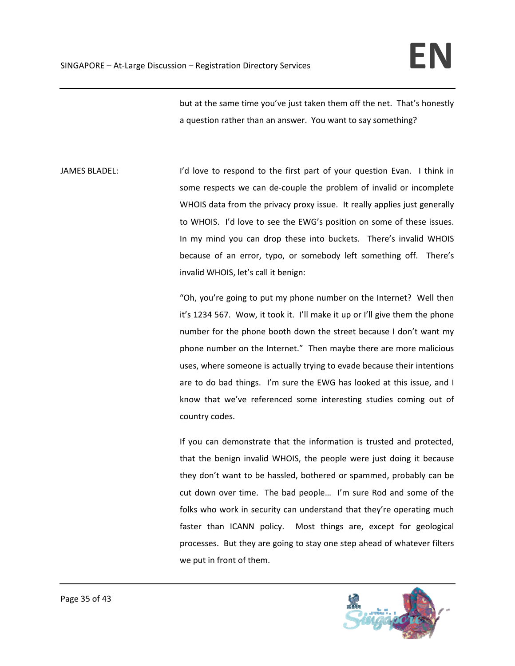but at the same time you've just taken them off the net. That's honestly a question rather than an answer. You want to say something?

JAMES BLADEL: I'd love to respond to the first part of your question Evan. I think in some respects we can de-couple the problem of invalid or incomplete WHOIS data from the privacy proxy issue. It really applies just generally to WHOIS. I'd love to see the EWG's position on some of these issues. In my mind you can drop these into buckets. There's invalid WHOIS because of an error, typo, or somebody left something off. There's invalid WHOIS, let's call it benign:

> "Oh, you're going to put my phone number on the Internet? Well then it's 1234 567. Wow, it took it. I'll make it up or I'll give them the phone number for the phone booth down the street because I don't want my phone number on the Internet." Then maybe there are more malicious uses, where someone is actually trying to evade because their intentions are to do bad things. I'm sure the EWG has looked at this issue, and I know that we've referenced some interesting studies coming out of country codes.

> If you can demonstrate that the information is trusted and protected, that the benign invalid WHOIS, the people were just doing it because they don't want to be hassled, bothered or spammed, probably can be cut down over time. The bad people… I'm sure Rod and some of the folks who work in security can understand that they're operating much faster than ICANN policy. Most things are, except for geological processes. But they are going to stay one step ahead of whatever filters we put in front of them.

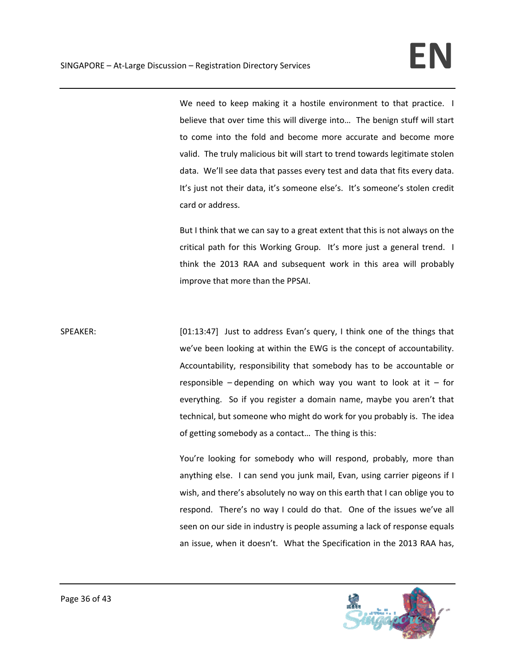We need to keep making it a hostile environment to that practice. I believe that over time this will diverge into… The benign stuff will start to come into the fold and become more accurate and become more valid. The truly malicious bit will start to trend towards legitimate stolen data. We'll see data that passes every test and data that fits every data. It's just not their data, it's someone else's. It's someone's stolen credit card or address.

But I think that we can say to a great extent that this is not always on the critical path for this Working Group. It's more just a general trend. I think the 2013 RAA and subsequent work in this area will probably improve that more than the PPSAI.

SPEAKER: [01:13:47] Just to address Evan's query, I think one of the things that we've been looking at within the EWG is the concept of accountability. Accountability, responsibility that somebody has to be accountable or responsible – depending on which way you want to look at it – for everything. So if you register a domain name, maybe you aren't that technical, but someone who might do work for you probably is. The idea of getting somebody as a contact… The thing is this:

> You're looking for somebody who will respond, probably, more than anything else. I can send you junk mail, Evan, using carrier pigeons if I wish, and there's absolutely no way on this earth that I can oblige you to respond. There's no way I could do that. One of the issues we've all seen on our side in industry is people assuming a lack of response equals an issue, when it doesn't. What the Specification in the 2013 RAA has,

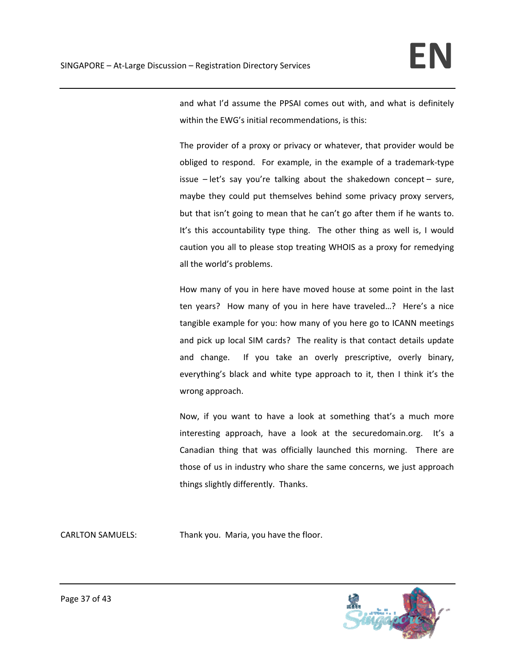and what I'd assume the PPSAI comes out with, and what is definitely within the EWG's initial recommendations, is this:

The provider of a proxy or privacy or whatever, that provider would be obliged to respond. For example, in the example of a trademark‐type issue – let's say you're talking about the shakedown concept – sure, maybe they could put themselves behind some privacy proxy servers, but that isn't going to mean that he can't go after them if he wants to. It's this accountability type thing. The other thing as well is, I would caution you all to please stop treating WHOIS as a proxy for remedying all the world's problems.

How many of you in here have moved house at some point in the last ten years? How many of you in here have traveled...? Here's a nice tangible example for you: how many of you here go to ICANN meetings and pick up local SIM cards? The reality is that contact details update and change. If you take an overly prescriptive, overly binary, everything's black and white type approach to it, then I think it's the wrong approach.

Now, if you want to have a look at something that's a much more interesting approach, have a look at the securedomain.org. It's a Canadian thing that was officially launched this morning. There are those of us in industry who share the same concerns, we just approach things slightly differently. Thanks.

CARLTON SAMUELS: Thank you. Maria, you have the floor.

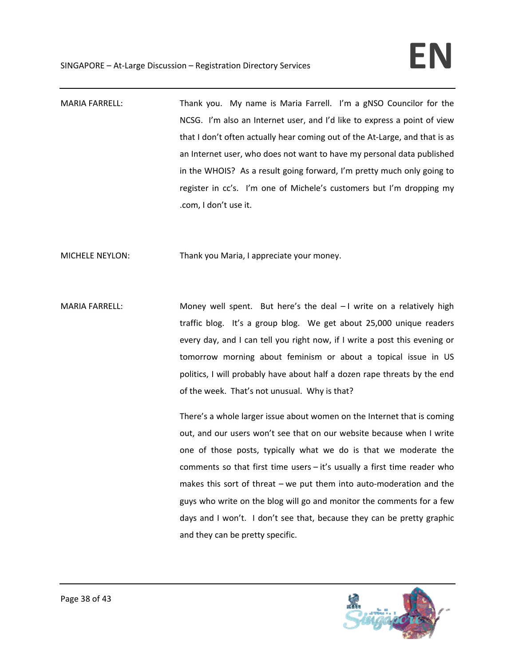MARIA FARRELL: Thank you. My name is Maria Farrell. I'm a gNSO Councilor for the NCSG. I'm also an Internet user, and I'd like to express a point of view that I don't often actually hear coming out of the At‐Large, and that is as an Internet user, who does not want to have my personal data published in the WHOIS? As a result going forward, I'm pretty much only going to register in cc's. I'm one of Michele's customers but I'm dropping my .com, I don't use it.

MICHELE NEYLON: Thank you Maria, I appreciate your money.

MARIA FARRELL: Money well spent. But here's the deal - I write on a relatively high traffic blog. It's a group blog. We get about 25,000 unique readers every day, and I can tell you right now, if I write a post this evening or tomorrow morning about feminism or about a topical issue in US politics, I will probably have about half a dozen rape threats by the end of the week. That's not unusual. Why is that?

> There's a whole larger issue about women on the Internet that is coming out, and our users won't see that on our website because when I write one of those posts, typically what we do is that we moderate the comments so that first time users – it's usually a first time reader who makes this sort of threat – we put them into auto-moderation and the guys who write on the blog will go and monitor the comments for a few days and I won't. I don't see that, because they can be pretty graphic and they can be pretty specific.

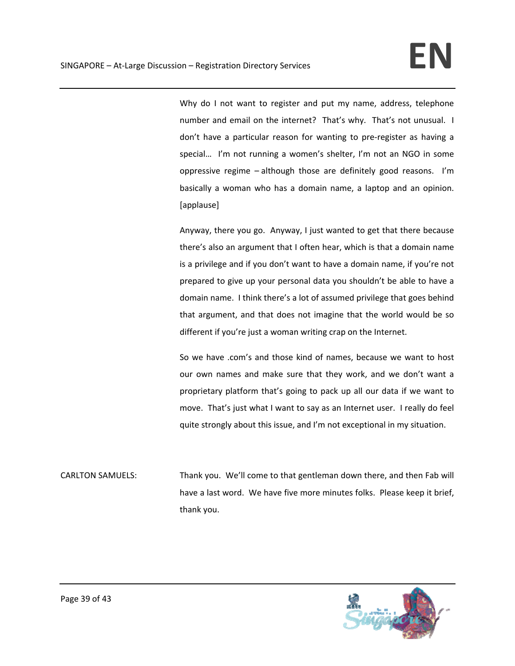Why do I not want to register and put my name, address, telephone number and email on the internet? That's why. That's not unusual. I don't have a particular reason for wanting to pre‐register as having a special... I'm not running a women's shelter, I'm not an NGO in some oppressive regime – although those are definitely good reasons. I'm basically a woman who has a domain name, a laptop and an opinion. [applause]

Anyway, there you go. Anyway, I just wanted to get that there because there's also an argument that I often hear, which is that a domain name is a privilege and if you don't want to have a domain name, if you're not prepared to give up your personal data you shouldn't be able to have a domain name. I think there's a lot of assumed privilege that goes behind that argument, and that does not imagine that the world would be so different if you're just a woman writing crap on the Internet.

So we have .com's and those kind of names, because we want to host our own names and make sure that they work, and we don't want a proprietary platform that's going to pack up all our data if we want to move. That's just what I want to say as an Internet user. I really do feel quite strongly about this issue, and I'm not exceptional in my situation.

CARLTON SAMUELS: Thank you. We'll come to that gentleman down there, and then Fab will have a last word. We have five more minutes folks. Please keep it brief, thank you.

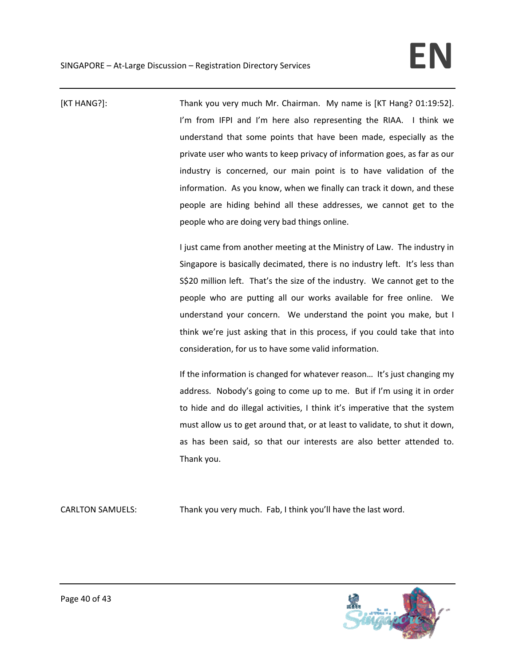[KT HANG?]: Thank you very much Mr. Chairman. My name is [KT Hang? 01:19:52]. I'm from IFPI and I'm here also representing the RIAA. I think we understand that some points that have been made, especially as the private user who wants to keep privacy of information goes, as far as our industry is concerned, our main point is to have validation of the information. As you know, when we finally can track it down, and these people are hiding behind all these addresses, we cannot get to the people who are doing very bad things online.

> I just came from another meeting at the Ministry of Law. The industry in Singapore is basically decimated, there is no industry left. It's less than S\$20 million left. That's the size of the industry. We cannot get to the people who are putting all our works available for free online. We understand your concern. We understand the point you make, but I think we're just asking that in this process, if you could take that into consideration, for us to have some valid information.

> If the information is changed for whatever reason… It's just changing my address. Nobody's going to come up to me. But if I'm using it in order to hide and do illegal activities, I think it's imperative that the system must allow us to get around that, or at least to validate, to shut it down, as has been said, so that our interests are also better attended to. Thank you.

CARLTON SAMUELS: Thank you very much. Fab, I think you'll have the last word.

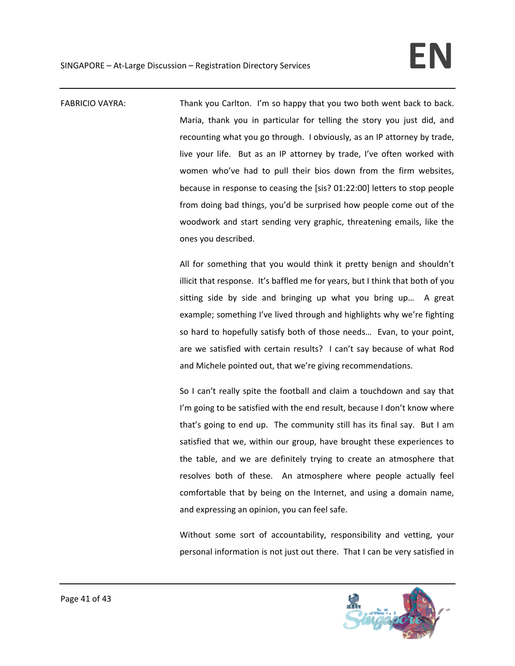FABRICIO VAYRA: Thank you Carlton. I'm so happy that you two both went back to back. Maria, thank you in particular for telling the story you just did, and recounting what you go through. I obviously, as an IP attorney by trade, live your life. But as an IP attorney by trade, I've often worked with women who've had to pull their bios down from the firm websites, because in response to ceasing the [sis? 01:22:00] letters to stop people from doing bad things, you'd be surprised how people come out of the woodwork and start sending very graphic, threatening emails, like the ones you described.

> All for something that you would think it pretty benign and shouldn't illicit that response. It's baffled me for years, but I think that both of you sitting side by side and bringing up what you bring up... A great example; something I've lived through and highlights why we're fighting so hard to hopefully satisfy both of those needs… Evan, to your point, are we satisfied with certain results? I can't say because of what Rod and Michele pointed out, that we're giving recommendations.

> So I can't really spite the football and claim a touchdown and say that I'm going to be satisfied with the end result, because I don't know where that's going to end up. The community still has its final say. But I am satisfied that we, within our group, have brought these experiences to the table, and we are definitely trying to create an atmosphere that resolves both of these. An atmosphere where people actually feel comfortable that by being on the Internet, and using a domain name, and expressing an opinion, you can feel safe.

> Without some sort of accountability, responsibility and vetting, your personal information is not just out there. That I can be very satisfied in

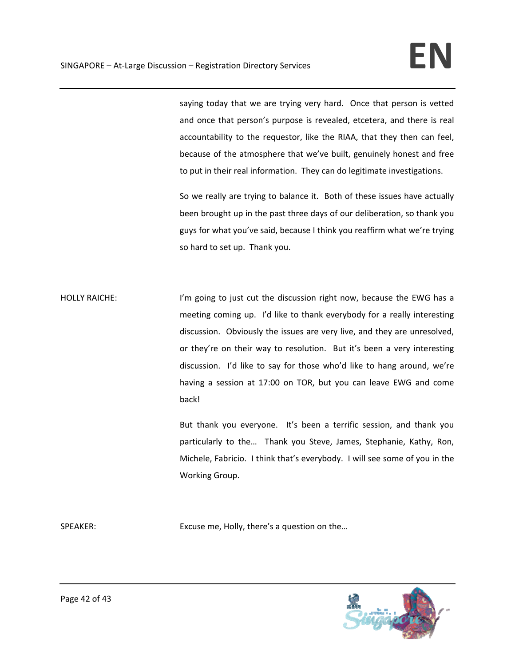saying today that we are trying very hard. Once that person is vetted and once that person's purpose is revealed, etcetera, and there is real accountability to the requestor, like the RIAA, that they then can feel, because of the atmosphere that we've built, genuinely honest and free to put in their real information. They can do legitimate investigations.

So we really are trying to balance it. Both of these issues have actually been brought up in the past three days of our deliberation, so thank you guys for what you've said, because I think you reaffirm what we're trying so hard to set up. Thank you.

HOLLY RAICHE: I'm going to just cut the discussion right now, because the EWG has a meeting coming up. I'd like to thank everybody for a really interesting discussion. Obviously the issues are very live, and they are unresolved, or they're on their way to resolution. But it's been a very interesting discussion. I'd like to say for those who'd like to hang around, we're having a session at 17:00 on TOR, but you can leave EWG and come back!

> But thank you everyone. It's been a terrific session, and thank you particularly to the… Thank you Steve, James, Stephanie, Kathy, Ron, Michele, Fabricio. I think that's everybody. I will see some of you in the Working Group.

SPEAKER: Excuse me, Holly, there's a question on the...